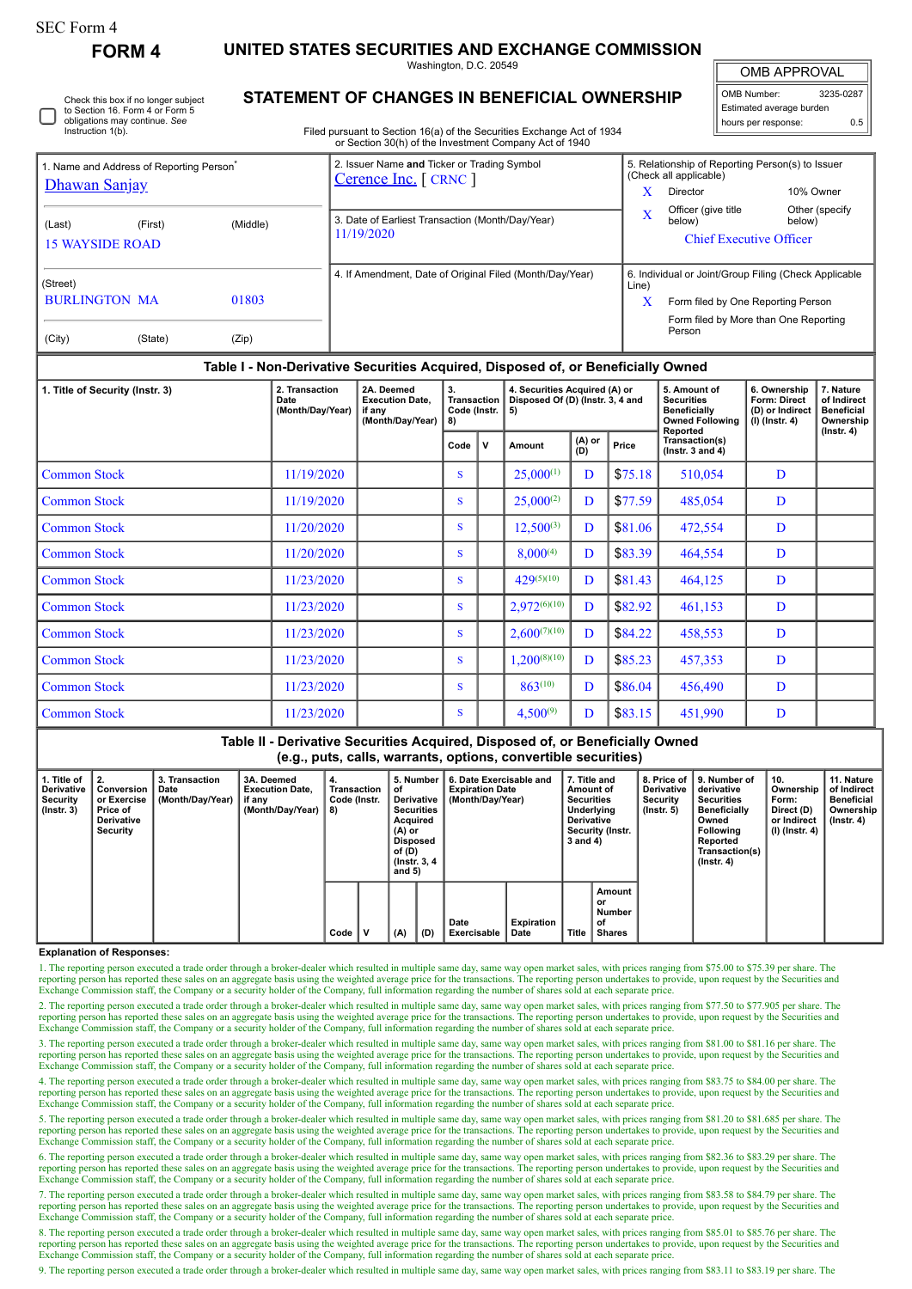# SEC Form 4

**FORM 4 UNITED STATES SECURITIES AND EXCHANGE COMMISSION**

Washington, D.C. 20549

OMB APPROVAL

| OMB Number:              | 3235-0287 |  |  |  |  |  |  |  |
|--------------------------|-----------|--|--|--|--|--|--|--|
| Estimated average burden |           |  |  |  |  |  |  |  |
| hours per response:      | 0.5       |  |  |  |  |  |  |  |

|  | Check this box if no longer subject<br>to Section 16. Form 4 or Form 5<br>obligations may continue. See<br>Instruction 1(b). |
|--|------------------------------------------------------------------------------------------------------------------------------|
|--|------------------------------------------------------------------------------------------------------------------------------|

## **STATEMENT OF CHANGES IN BENEFICIAL OWNERSHIP**

Filed pursuant to Section 16(a) of the Securities Exchange Act of 1934 or Section 30(h) of the Investment Company Act of 1940

| 1. Name and Address of Reporting Person <sup>®</sup>                    | 2. Issuer Name and Ticker or Trading Symbol<br>Cerence Inc. [ CRNC ] | 5. Relationship of Reporting Person(s) to Issuer<br>(Check all applicable)                                                                                   |  |  |  |  |  |
|-------------------------------------------------------------------------|----------------------------------------------------------------------|--------------------------------------------------------------------------------------------------------------------------------------------------------------|--|--|--|--|--|
| Dhawan Sanjay                                                           |                                                                      | 10% Owner<br>Director                                                                                                                                        |  |  |  |  |  |
| (Middle)<br>(Last)<br>(First)<br><b>15 WAYSIDE ROAD</b>                 | 3. Date of Earliest Transaction (Month/Day/Year)<br>11/19/2020       | Officer (give title<br>Other (specify<br>x<br>below)<br>below)<br><b>Chief Executive Officer</b>                                                             |  |  |  |  |  |
| (Street)<br><b>BURLINGTON MA</b><br>01803<br>(City)<br>(State)<br>(Zip) | 4. If Amendment, Date of Original Filed (Month/Day/Year)             | 6. Individual or Joint/Group Filing (Check Applicable<br>Line)<br>x<br>Form filed by One Reporting Person<br>Form filed by More than One Reporting<br>Person |  |  |  |  |  |

### **Table I - Non-Derivative Securities Acquired, Disposed of, or Beneficially Owned**

| 1. Title of Security (Instr. 3) | 2. Transaction<br>Date<br>(Month/Day/Year) | 2A. Deemed<br><b>Execution Date.</b><br>if any<br>(Month/Day/Year) | 3.<br><b>Transaction</b><br>Code (Instr.<br>8) |             | 4. Securities Acquired (A) or<br>Disposed Of (D) (Instr. 3, 4 and<br>l 5) |               |         | 5. Amount of<br><b>Securities</b><br><b>Beneficially</b><br><b>Owned Following</b><br>Reported | 6. Ownership<br>Form: Direct<br>(D) or Indirect<br>(I) (Instr. 4) | 7. Nature<br>of Indirect<br><b>Beneficial</b><br>Ownership<br>$($ Instr. 4 $)$ |
|---------------------------------|--------------------------------------------|--------------------------------------------------------------------|------------------------------------------------|-------------|---------------------------------------------------------------------------|---------------|---------|------------------------------------------------------------------------------------------------|-------------------------------------------------------------------|--------------------------------------------------------------------------------|
|                                 |                                            |                                                                    | Code                                           | $\mathbf v$ | Amount                                                                    | (A) or<br>(D) | Price   | Transaction(s)<br>$($ lnstr. 3 and 4 $)$                                                       |                                                                   |                                                                                |
| <b>Common Stock</b>             | 11/19/2020                                 |                                                                    | S                                              |             | $25,000^{(1)}$                                                            | D             | \$75.18 | 510,054                                                                                        | D                                                                 |                                                                                |
| <b>Common Stock</b>             | 11/19/2020                                 |                                                                    | S                                              |             | $25,000^{(2)}$                                                            | D             | \$77.59 | 485,054                                                                                        | D                                                                 |                                                                                |
| <b>Common Stock</b>             | 11/20/2020                                 |                                                                    | S                                              |             | $12,500^{(3)}$                                                            | D             | \$81.06 | 472,554                                                                                        | D                                                                 |                                                                                |
| <b>Common Stock</b>             | 11/20/2020                                 |                                                                    | <sub>S</sub>                                   |             | $8,000^{(4)}$                                                             | D             | \$83.39 | 464,554                                                                                        | D                                                                 |                                                                                |
| <b>Common Stock</b>             | 11/23/2020                                 |                                                                    | <sub>S</sub>                                   |             | $429^{(5)(10)}$                                                           | D             | \$81.43 | 464,125                                                                                        | D                                                                 |                                                                                |
| <b>Common Stock</b>             | 11/23/2020                                 |                                                                    | <sup>S</sup>                                   |             | $2,972^{(6)(10)}$                                                         | D             | \$82.92 | 461,153                                                                                        | D                                                                 |                                                                                |
| <b>Common Stock</b>             | 11/23/2020                                 |                                                                    | S                                              |             | $2,600^{(7)(10)}$                                                         | D             | \$84.22 | 458,553                                                                                        | D                                                                 |                                                                                |
| <b>Common Stock</b>             | 11/23/2020                                 |                                                                    | s                                              |             | $1,200^{(8)(10)}$                                                         | D             | \$85.23 | 457,353                                                                                        | D                                                                 |                                                                                |
| <b>Common Stock</b>             | 11/23/2020                                 |                                                                    | <sub>S</sub>                                   |             | $863^{(10)}$                                                              | D             | \$86.04 | 456,490                                                                                        | D                                                                 |                                                                                |
| <b>Common Stock</b>             | 11/23/2020                                 |                                                                    | s                                              |             | $4,500^{(9)}$                                                             | D             | \$83.15 | 451,990                                                                                        | D                                                                 |                                                                                |

## **Table II - Derivative Securities Acquired, Disposed of, or Beneficially Owned (e.g., puts, calls, warrants, options, convertible securities)**

| 1. Title of<br><b>Derivative</b><br>Security<br>$($ lnstr. 3 $)$ | Conversion<br>or Exercise<br>Price of<br><b>Derivative</b><br>Security | 3. Transaction<br>Date<br>(Month/Day/Year) | 3A. Deemed<br><b>Execution Date.</b><br>. ⊩ lif any<br>(Month/Day/Year) | 4.<br>Transaction<br>Code (Instr.<br>8) |  | 5. Number<br>οf<br>Derivative<br><b>Securities</b><br>Acquired<br>(A) or<br>Disposed<br>of (D)<br>(Instr. 3, 4)<br>and $5)$ |     | 6. Date Exercisable and<br><b>Expiration Date</b><br>(Month/Day/Year) |                           | 7. Title and<br>Amount of<br><b>Securities</b><br>Underlying<br><b>Derivative</b><br>Security (Instr.<br>3 and 4) |                                               | <b>Derivative</b><br>Security<br>$($ lnstr. 5 $)$ | 8. Price of 19. Number of<br>derivative<br><b>Securities</b><br><b>Beneficially</b><br>Owned<br><b>Following</b><br>Reported<br>Transaction(s)<br>$($ Instr. 4 $)$ | 10.<br>Ownership<br>Form:<br>Direct (D)<br>or Indirect<br>  (I) (Instr. 4) | 11. Nature<br>of Indirect<br><b>Beneficial</b><br>Ownership<br>(Instr. 4) |
|------------------------------------------------------------------|------------------------------------------------------------------------|--------------------------------------------|-------------------------------------------------------------------------|-----------------------------------------|--|-----------------------------------------------------------------------------------------------------------------------------|-----|-----------------------------------------------------------------------|---------------------------|-------------------------------------------------------------------------------------------------------------------|-----------------------------------------------|---------------------------------------------------|--------------------------------------------------------------------------------------------------------------------------------------------------------------------|----------------------------------------------------------------------------|---------------------------------------------------------------------------|
|                                                                  |                                                                        |                                            |                                                                         | Code                                    |  | (A)                                                                                                                         | (D) | Date<br>Exercisable                                                   | <b>Expiration</b><br>Date | <b>Title</b>                                                                                                      | Amount<br>or<br>Number<br>of<br><b>Shares</b> |                                                   |                                                                                                                                                                    |                                                                            |                                                                           |

#### **Explanation of Responses:**

1. The reporting person executed a trade order through a broker-dealer which resulted in multiple same day, same way open market sales, with prices ranging from \$75.00 to \$75.39 per share. The reporting person has reported these sales on an aggregate basis using the weighted average price for the transactions. The reporting person undertakes to provide, upon request by the Securities and reporting person has rep Exchange Commission staff, the Company or a security holder of the Company, full information regarding the number of shares sold at each separate price.

2. The reporting person executed a trade order through a broker-dealer which resulted in multiple same day, same way open market sales, with prices ranging from \$77.50 to \$77.905 per share. The reporting person has reported these sales on an aggregate basis using the weighted average price for the transactions. The reporting person undertakes to provide, upon request by the Securities and Exchange Commission staff, the Company or a security holder of the Company, full information regarding the number of shares sold at each separate price.

3. The reporting person executed a trade order through a broker-dealer which resulted in multiple same day, same way open market sales, with prices ranging from \$81.00 to \$81.16 per share. The reporting person has reported these sales on an aggregate basis using the weighted average price for the transactions. The reporting person undertakes to provide, upon request by the Securities and<br>Exchange Commission staf

4. The reporting person executed a trade order through a broker-dealer which resulted in multiple same day, same way open market sales, with prices ranging from \$83.75 to \$84.00 per share. The reporting person has reported these sales on an aggregate basis using the weighted average price for the transactions. The reporting person undertakes to provide, upon request by the Securities and<br>Exchange Commission staf

5. The reporting person executed a trade order through a broker-dealer which resulted in multiple same day, same way open market sales, with prices ranging from \$81.20 to \$81.685 per share. The reporting person has reporte Exchange Commission staff, the Company or a security holder of the Company, full information regarding the number of shares sold at each separate price.

6. The reporting person executed a trade order through a broker-dealer which resulted in multiple same day, same way open market sales, with prices ranging from \$82.36 to \$83.29 per share. The reporting person has reported these sales on an aggregate basis using the weighted average price for the transactions. The reporting person undertakes to provide, upon request by the Securities and<br>Exchange Commission staf

7. The reporting person executed a trade order through a broker-dealer which resulted in multiple same day, same way open market sales, with prices ranging from \$83.58 to \$84.79 per share. The reporting person has reported these sales on an aggregate basis using the weighted average price for the transactions. The reporting person undertakes to provide, upon request by the Securities and<br>Exchange Commission staf

8. The reporting person executed a trade order through a broker-dealer which resulted in multiple same day, same way open market sales, with prices ranging from \$85.01 to \$85.76 per share. The reporting person has reported these sales on an aggregate basis using the weighted average price for the transactions. The reporting person undertakes to provide, upon request by the Securities and<br>Exchange Commission staf

9. The reporting person executed a trade order through a broker-dealer which resulted in multiple same day, same way open market sales, with prices ranging from \$83.11 to \$83.19 per share. The